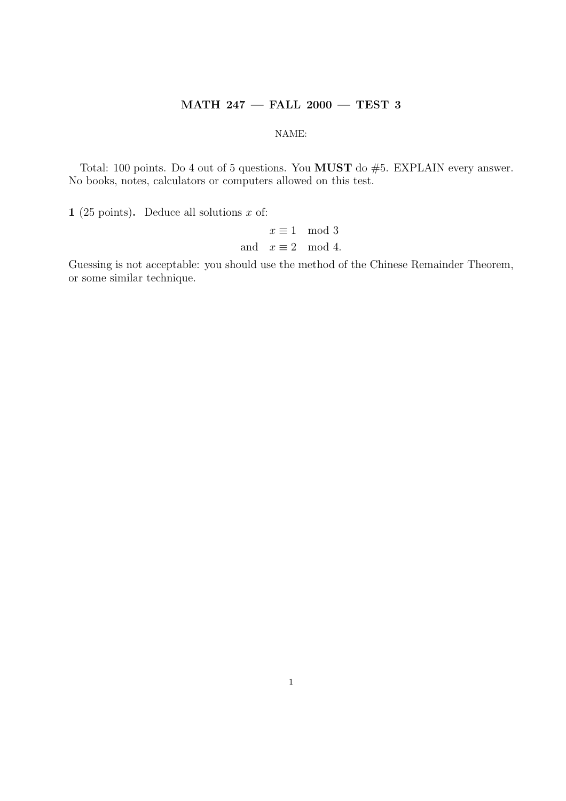## MATH 247 — FALL 2000 — TEST 3

## NAME:

Total: 100 points. Do 4 out of 5 questions. You MUST do #5. EXPLAIN every answer. No books, notes, calculators or computers allowed on this test.

1 (25 points). Deduce all solutions  $x$  of:

 $x \equiv 1 \mod 3$ and  $x \equiv 2 \mod 4$ .

Guessing is not acceptable: you should use the method of the Chinese Remainder Theorem, or some similar technique.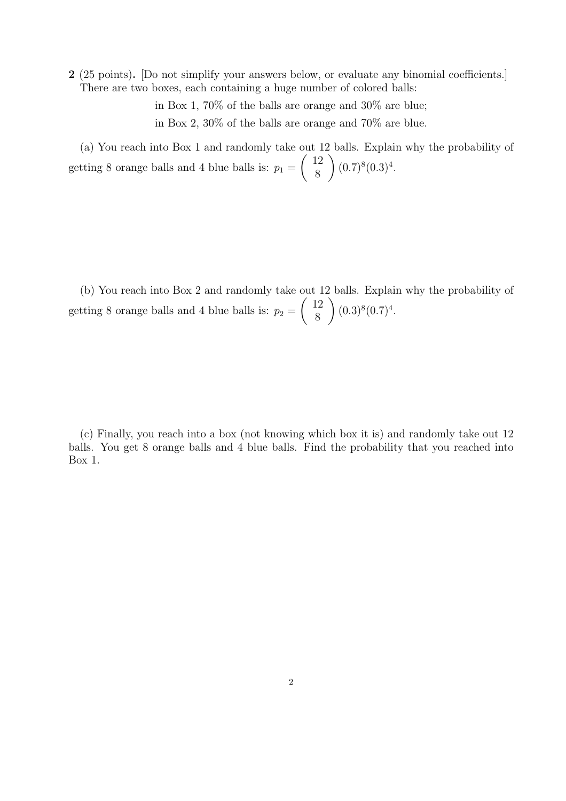2 (25 points). [Do not simplify your answers below, or evaluate any binomial coefficients.] There are two boxes, each containing a huge number of colored balls:

> in Box 1, 70% of the balls are orange and 30% are blue; in Box 2, 30% of the balls are orange and 70% are blue.

(a) You reach into Box 1 and randomly take out 12 balls. Explain why the probability of getting 8 orange balls and 4 blue balls is:  $p_1 = \begin{pmatrix} 12 \\ 8 \end{pmatrix}$  $\binom{12}{8}$   $(0.7)^8(0.3)^4$ .

(b) You reach into Box 2 and randomly take out 12 balls. Explain why the probability of getting 8 orange balls and 4 blue balls is:  $p_2 = \begin{pmatrix} 12 \\ 8 \end{pmatrix}$  $\binom{12}{8}$   $(0.3)^8 (0.7)^4$ .

(c) Finally, you reach into a box (not knowing which box it is) and randomly take out 12 balls. You get 8 orange balls and 4 blue balls. Find the probability that you reached into Box 1.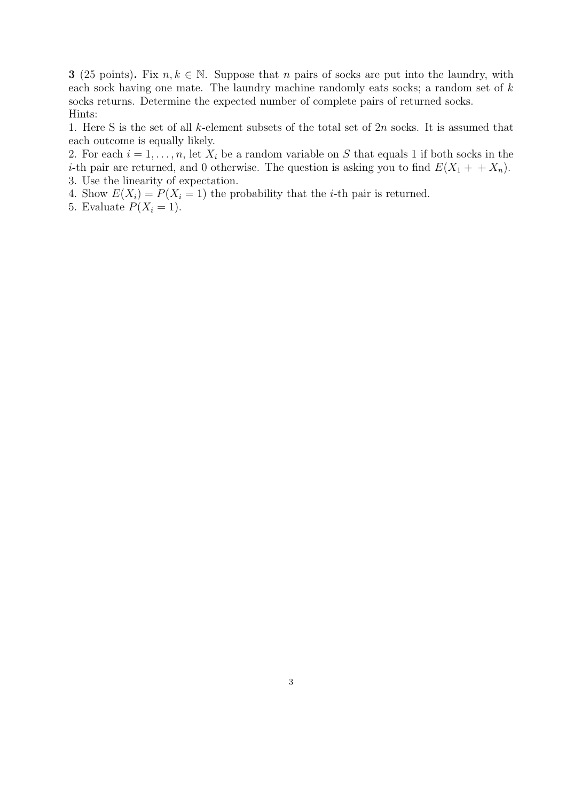**3** (25 points). Fix  $n, k \in \mathbb{N}$ . Suppose that n pairs of socks are put into the laundry, with each sock having one mate. The laundry machine randomly eats socks; a random set of k socks returns. Determine the expected number of complete pairs of returned socks. Hints:

1. Here S is the set of all k-element subsets of the total set of  $2n$  socks. It is assumed that each outcome is equally likely.

2. For each  $i = 1, \ldots, n$ , let  $X_i$  be a random variable on S that equals 1 if both socks in the *i*-th pair are returned, and 0 otherwise. The question is asking you to find  $E(X_1 + + X_n)$ . 3. Use the linearity of expectation.

4. Show  $E(X_i) = P(X_i = 1)$  the probability that the *i*-th pair is returned.

5. Evaluate  $P(X_i = 1)$ .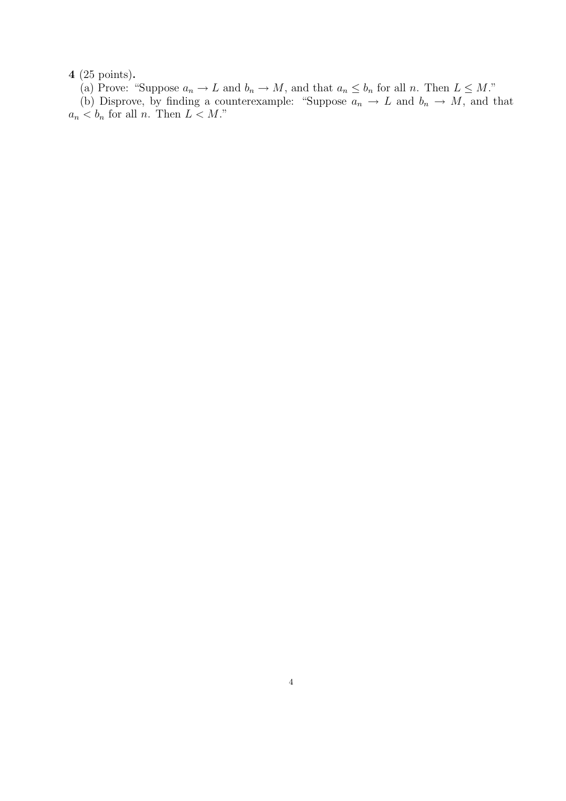4 (25 points).

(a) Prove: "Suppose  $a_n \to L$  and  $b_n \to M$ , and that  $a_n \leq b_n$  for all n. Then  $L \leq M$ ."

(b) Disprove, by finding a counterexample: "Suppose  $a_n \to L$  and  $b_n \to M$ , and that  $a_n < b_n$  for all n. Then  $L < M$ ."